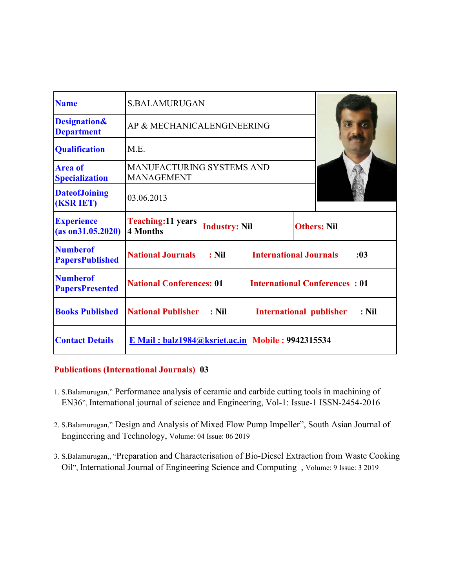| <b>Name</b>                                  | <b>S.BALAMURUGAN</b>                                                         |                                          |                    |      |
|----------------------------------------------|------------------------------------------------------------------------------|------------------------------------------|--------------------|------|
| <b>Designation&amp;</b><br><b>Department</b> | AP & MECHANICALENGINEERING                                                   |                                          |                    |      |
| <b>Qualification</b>                         | M.E.                                                                         |                                          |                    |      |
| <b>Area of</b><br><b>Specialization</b>      | <b>MANUFACTURING SYSTEMS AND</b><br><b>MANAGEMENT</b>                        |                                          |                    |      |
| <b>DateofJoining</b><br><b>(KSR IET)</b>     | 03.06.2013                                                                   |                                          |                    |      |
| <b>Experience</b><br>(as on 31.05.2020)      | <b>Teaching:11 years</b><br>4 Months                                         | <b>Industry: Nil</b>                     | <b>Others: Nil</b> |      |
| <b>Numberof</b><br><b>PapersPublished</b>    | <b>National Journals</b>                                                     | $:$ Nil<br><b>International Journals</b> |                    | : 03 |
| <b>Numberof</b><br><b>PapersPresented</b>    | <b>National Conferences: 01</b><br><b>International Conferences: 01</b>      |                                          |                    |      |
| <b>Books Published</b>                       | <b>National Publisher : Nil</b><br><b>International publisher</b><br>$:$ Nil |                                          |                    |      |
| <b>Contact Details</b>                       | $E$ Mail: balz1984@ksriet.ac.in Mobile: 9942315534                           |                                          |                    |      |

### **Publications (International Journals) 03**

- 1. S.Balamurugan," Performance analysis of ceramic and carbide cutting tools in machining of EN36", International journal of science and Engineering, Vol-1: Issue-1 ISSN-2454-2016
- 2. S.Balamurugan," Design and Analysis of Mixed Flow Pump Impeller", South Asian Journal of Engineering and Technology, Volume: 04 Issue: 06 2019
- 3. S.Balamurugan,, "Preparation and Characterisation of Bio-Diesel Extraction from Waste Cooking Oil", International Journal of Engineering Science and Computing , Volume: 9 Issue: 3 2019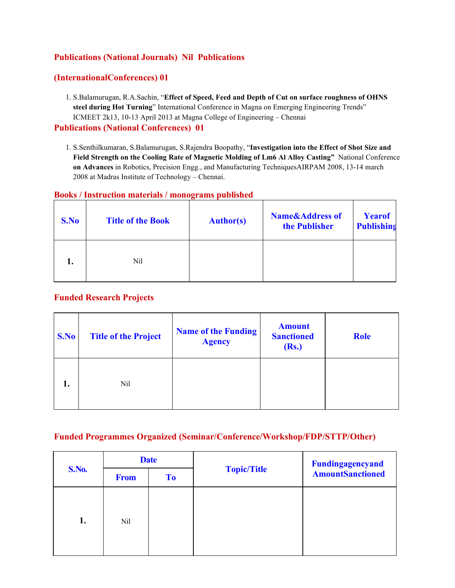# **Publications (National Journals) Nil Publications**

### **(InternationalConferences) 01**

1. S.Balamurugan, R.A.Sachin, "**Effect of Speed, Feed and Depth of Cut on surface roughness of OHNS steel during Hot Turning**" International Conference in Magna on Emerging Engineering Trends" ICMEET 2k13, 10-13 April 2013 at Magna College of Engineering – Chennai

#### **Publications (National Conferences) 01**

1. S.Senthilkumaran, S.Balamurugan, S.Rajendra Boopathy, "**Investigation into the Effect of Shot Size and Field Strength on the Cooling Rate of Magnetic Molding of Lm6 Al Alloy Casting"** National Conference  **on Advances** in Robotics, Precision Engg., and Manufacturing TechniquesAIRPAM 2008, 13-14 march 2008 at Madras Institute of Technology – Chennai.

#### **Books / Instruction materials / monograms published**

| S.No | <b>Title of the Book</b> | <b>Author(s)</b> | <b>Name&amp;Address of</b><br>the Publisher | <b>Yearof</b><br><b>Publishing</b> |
|------|--------------------------|------------------|---------------------------------------------|------------------------------------|
|      | Nil                      |                  |                                             |                                    |

### **Funded Research Projects**

| S.No | <b>Title of the Project</b> | <b>Name of the Funding</b><br><b>Agency</b> | <b>Amount</b><br><b>Sanctioned</b><br>(Rs.) | <b>Role</b> |
|------|-----------------------------|---------------------------------------------|---------------------------------------------|-------------|
| 1.   | Nil                         |                                             |                                             |             |

#### **Funded Programmes Organized (Seminar/Conference/Workshop/FDP/STTP/Other)**

| <b>S.No.</b> | <b>Date</b> |                |                    | Fundingagencyand        |
|--------------|-------------|----------------|--------------------|-------------------------|
|              | <b>From</b> | T <sub>o</sub> | <b>Topic/Title</b> | <b>AmountSanctioned</b> |
| 1.           | Nil         |                |                    |                         |